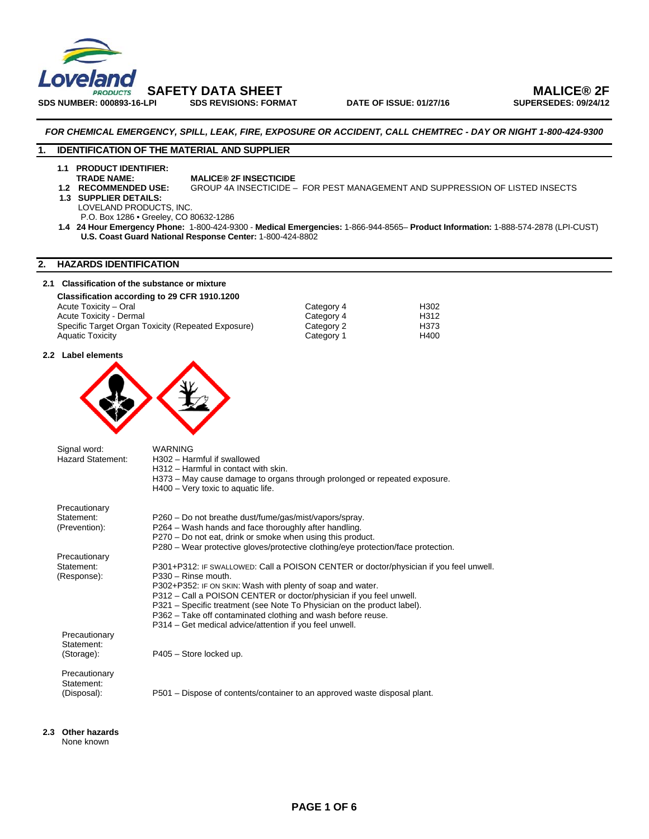

SDS NUMBER: 000893-16-LPI SDS REVISIONS: FORMAT DATE OF ISSUE: 01/27/16

### *FOR CHEMICAL EMERGENCY, SPILL, LEAK, FIRE, EXPOSURE OR ACCIDENT, CALL CHEMTREC - DAY OR NIGHT 1-800-424-9300*

### **1. IDENTIFICATION OF THE MATERIAL AND SUPPLIER**

**1.1 PRODUCT IDENTIFIER:** 

- **TRADE NAME:** MALICE® 2F INSECTICIDE<br>1.2 RECOMMENDED USE: GROUP 4A INSECTICIDE GROUP 4A INSECTICIDE – FOR PEST MANAGEMENT AND SUPPRESSION OF LISTED INSECTS
- **1.3 SUPPLIER DETAILS:**

LOVELAND PRODUCTS, INC.

P.O. Box 1286 • Greeley, CO 80632-1286

 **1.4 24 Hour Emergency Phone:** 1-800-424-9300 - **Medical Emergencies:** 1-866-944-8565– **Product Information:** 1-888-574-2878 (LPI-CUST) **U.S. Coast Guard National Response Center:** 1-800-424-8802

### **2. HAZARDS IDENTIFICATION**

### **2.1 Classification of the substance or mixture**

| Classification according to 29 CFR 1910.1200       |            |      |
|----------------------------------------------------|------------|------|
| Acute Toxicity - Oral                              | Category 4 | H302 |
| Acute Toxicity - Dermal                            | Category 4 | H312 |
| Specific Target Organ Toxicity (Repeated Exposure) | Category 2 | H373 |
| <b>Aquatic Toxicity</b>                            | Category 1 | H400 |

### **2.2 Label elements**



Signal word: WARNING<br>Hazard Statement: H302 - Ha H302 – Harmful if swallowed H312 – Harmful in contact with skin. H373 – May cause damage to organs through prolonged or repeated exposure. H400 – Very toxic to aquatic life. Precautionary<br>Statement: P260 – Do not breathe dust/fume/gas/mist/vapors/spray. (Prevention): P264 – Wash hands and face thoroughly after handling. P270 – Do not eat, drink or smoke when using this product. P280 – Wear protective gloves/protective clothing/eye protection/face protection. Precautionary Statement: P301+P312: IF SWALLOWED: Call a POISON CENTER or doctor/physician if you feel unwell.<br>(Response): P330 – Rinse mouth. P330 – Rinse mouth. P302+P352: IF ON SKIN: Wash with plenty of soap and water. P312 – Call a POISON CENTER or doctor/physician if you feel unwell. P321 – Specific treatment (see Note To Physician on the product label). P362 – Take off contaminated clothing and wash before reuse. P314 – Get medical advice/attention if you feel unwell. Precautionary Statement: (Storage): P405 – Store locked up.

 Precautionary Statement:

(Disposal): P501 – Dispose of contents/container to an approved waste disposal plant.

**2.3 Other hazards**  None known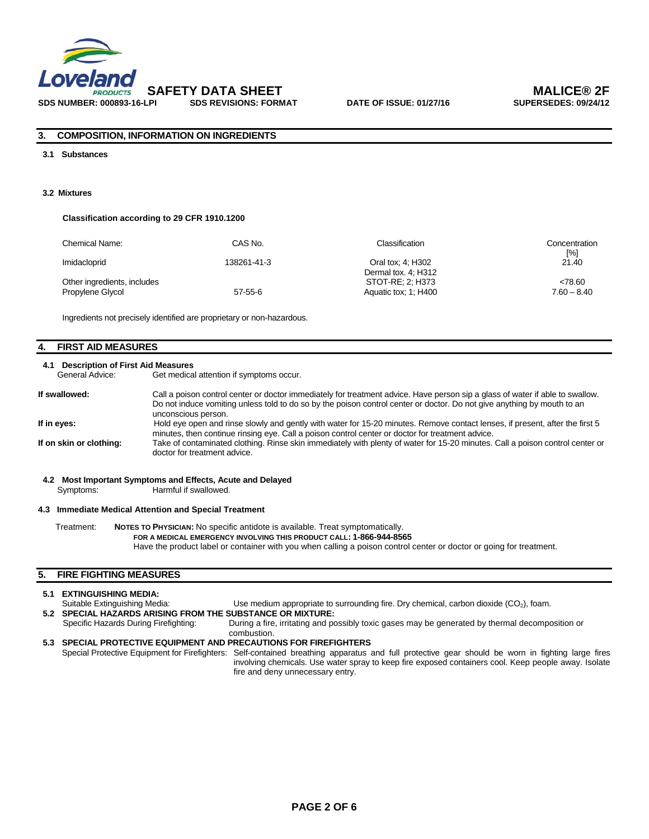

### **3. COMPOSITION, INFORMATION ON INGREDIENTS**

### **3.1 Substances**

### **3.2 Mixtures**

#### **Classification according to 29 CFR 1910.1200**

| Chemical Name:                                  | CAS No.       | Classification                           | Concentration<br>$[\%]$  |
|-------------------------------------------------|---------------|------------------------------------------|--------------------------|
| Imidacloprid                                    | 138261-41-3   | Oral tox; 4; H302<br>Dermal tox. 4; H312 | 21.40                    |
| Other ingredients, includes<br>Propylene Glycol | $57 - 55 - 6$ | STOT-RE: 2: H373<br>Aquatic tox: 1: H400 | < 78.60<br>$7.60 - 8.40$ |

Ingredients not precisely identified are proprietary or non-hazardous.

### **4. FIRST AID MEASURES**

# **4.1 Description of First Aid Measures**

Get medical attention if symptoms occur.

| If swallowed:           | Call a poison control center or doctor immediately for treatment advice. Have person sip a glass of water if able to swallow.<br>Do not induce vomiting unless told to do so by the poison control center or doctor. Do not give anything by mouth to an<br>unconscious person. |
|-------------------------|---------------------------------------------------------------------------------------------------------------------------------------------------------------------------------------------------------------------------------------------------------------------------------|
| If in eyes:             | Hold eye open and rinse slowly and gently with water for 15-20 minutes. Remove contact lenses, if present, after the first 5<br>minutes, then continue rinsing eye. Call a poison control center or doctor for treatment advice.                                                |
| If on skin or clothing: | Take of contaminated clothing. Rinse skin immediately with plenty of water for 15-20 minutes. Call a poison control center or<br>doctor for treatment advice.                                                                                                                   |

### **4.2 Most Important Symptoms and Effects, Acute and Delayed**  Symptoms: Harmful if swallowed.

#### **4.3 Immediate Medical Attention and Special Treatment**

Treatment: **NOTES TO PHYSICIAN:** No specific antidote is available. Treat symptomatically.

 **FOR A MEDICAL EMERGENCY INVOLVING THIS PRODUCT CALL: 1-866-944-8565** 

Have the product label or container with you when calling a poison control center or doctor or going for treatment.

### **5. FIRE FIGHTING MEASURES**

### **5.1 EXTINGUISHING MEDIA:**

Suitable Extinguishing Media: Use medium appropriate to surrounding fire. Dry chemical, carbon dioxide (CO2), foam.

**5.2 SPECIAL HAZARDS ARISING FROM THE SUBSTANCE OR MIXTURE:**<br>Specific Hazards During Firefighting: During a fire, irritating and po During a fire, irritating and possibly toxic gases may be generated by thermal decomposition or combustion.

### **5.3 SPECIAL PROTECTIVE EQUIPMENT AND PRECAUTIONS FOR FIREFIGHTERS**  Special Protective Equipment for Firefighters: Self-contained breathing apparatus and full protective gear should be worn in fighting large fires involving chemicals. Use water spray to keep fire exposed containers cool. Keep people away. Isolate

fire and deny unnecessary entry.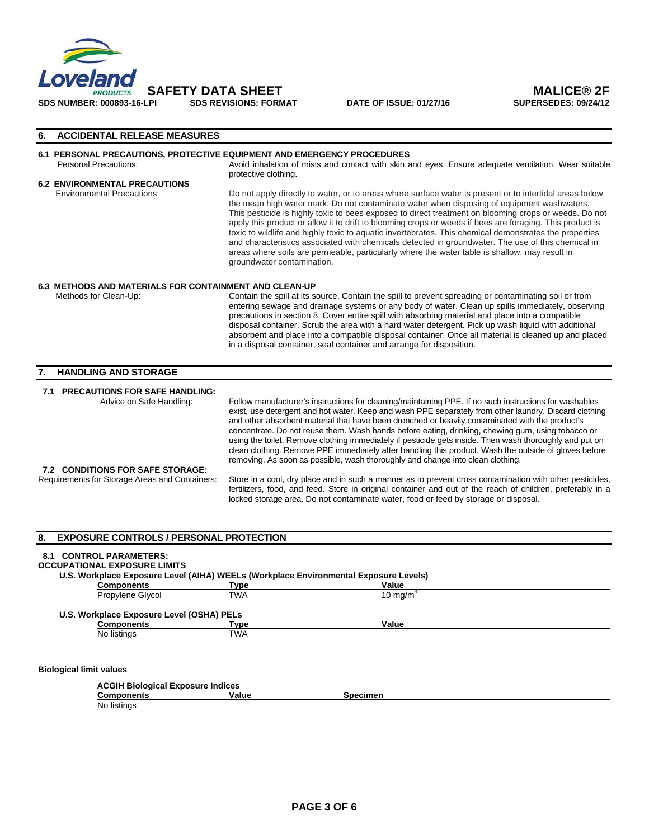

### **6. ACCIDENTAL RELEASE MEASURES**

### **6.1 PERSONAL PRECAUTIONS, PROTECTIVE EQUIPMENT AND EMERGENCY PROCEDURES**

Personal Precautions: Avoid inhalation of mists and contact with skin and eyes. Ensure adequate ventilation. Wear suitable protective clothing.

# **6.2 ENVIRONMENTAL PRECAUTIONS**

Do not apply directly to water, or to areas where surface water is present or to intertidal areas below the mean high water mark. Do not contaminate water when disposing of equipment washwaters. This pesticide is highly toxic to bees exposed to direct treatment on blooming crops or weeds. Do not apply this product or allow it to drift to blooming crops or weeds if bees are foraging. This product is toxic to wildlife and highly toxic to aquatic invertebrates. This chemical demonstrates the properties and characteristics associated with chemicals detected in groundwater. The use of this chemical in areas where soils are permeable, particularly where the water table is shallow, may result in groundwater contamination.

# **6.3 METHODS AND MATERIALS FOR CONTAINMENT AND CLEAN-UP**<br>Methods for Clean-Up: Contain the spill at its s

Contain the spill at its source. Contain the spill to prevent spreading or contaminating soil or from entering sewage and drainage systems or any body of water. Clean up spills immediately, observing precautions in section 8. Cover entire spill with absorbing material and place into a compatible disposal container. Scrub the area with a hard water detergent. Pick up wash liquid with additional absorbent and place into a compatible disposal container. Once all material is cleaned up and placed in a disposal container, seal container and arrange for disposition.

### **7. HANDLING AND STORAGE**

**7.1 PRECAUTIONS FOR SAFE HANDLING:** 

Advice on Safe Handling: Follow manufacturer's instructions for cleaning/maintaining PPE. If no such instructions for washables exist, use detergent and hot water. Keep and wash PPE separately from other laundry. Discard clothing and other absorbent material that have been drenched or heavily contaminated with the product's concentrate. Do not reuse them. Wash hands before eating, drinking, chewing gum, using tobacco or using the toilet. Remove clothing immediately if pesticide gets inside. Then wash thoroughly and put on clean clothing. Remove PPE immediately after handling this product. Wash the outside of gloves before removing. As soon as possible, wash thoroughly and change into clean clothing.

**7.2 CONDITIONS FOR SAFE STORAGE:** 

Store in a cool, dry place and in such a manner as to prevent cross contamination with other pesticides, fertilizers, food, and feed. Store in original container and out of the reach of children, preferably in a locked storage area. Do not contaminate water, food or feed by storage or disposal.

## **8. EXPOSURE CONTROLS / PERSONAL PROTECTION 8.1 CONTROL PARAMETERS: OCCUPATIONAL EXPOSURE LIMITS U.S. Workplace Exposure Level (AIHA) WEELs (Workplace Environmental Exposure Levels) Components** Type Value Propylene Glycol **TWA** 10 mg/m<sup>3</sup> **U.S. Workplace Exposure Level (OSHA) PELs Components** Type Type Value No listings TWA **Biological limit values ACGIH Biological Exposure Indices Components Components Value Specimen** No listings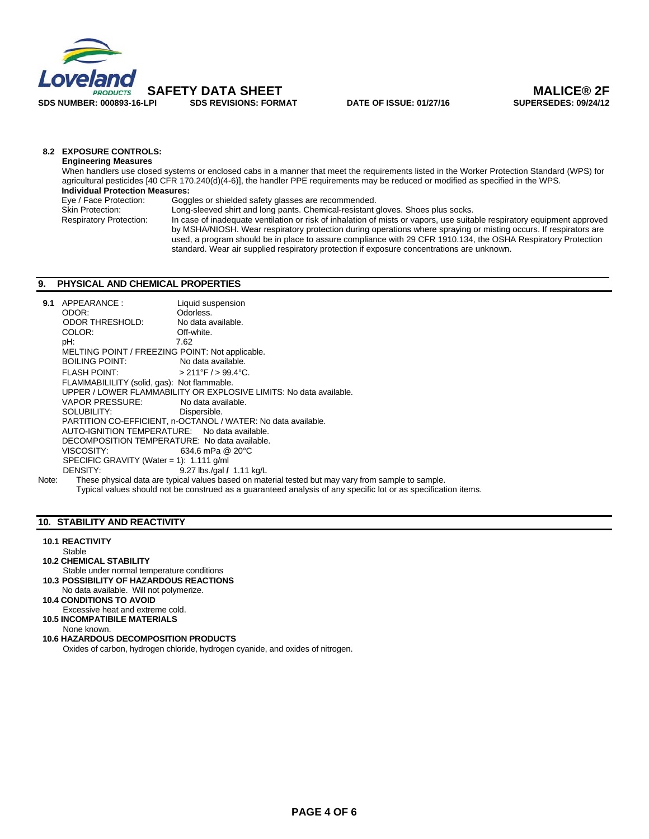

## **8.2 EXPOSURE CONTROLS:**

**Engineering Measures**  When handlers use closed systems or enclosed cabs in a manner that meet the requirements listed in the Worker Protection Standard (WPS) for agricultural pesticides [40 CFR 170.240(d)(4-6)], the handler PPE requirements may be reduced or modified as specified in the WPS.  **Individual Protection Measures: Eye / Face Protection:** Goggles or shielded safety glasses are recommended.<br>
Skin Protection: Long-sleeved shirt and long pants. Chemical-resistant g Skin Protection: Long-sleeved shirt and long pants. Chemical-resistant gloves. Shoes plus socks.<br>Respiratory Protection: In case of inadequate ventilation or risk of inhalation of mists or vapors, use suita In case of inadequate ventilation or risk of inhalation of mists or vapors, use suitable respiratory equipment approved by MSHA/NIOSH. Wear respiratory protection during operations where spraying or misting occurs. If respirators are used, a program should be in place to assure compliance with 29 CFR 1910.134, the OSHA Respiratory Protection

standard. Wear air supplied respiratory protection if exposure concentrations are unknown.

### **9. PHYSICAL AND CHEMICAL PROPERTIES**

| 9.1   | APPEARANCE:                                                   | Liquid suspension                                                                                   |  |  |  |  |
|-------|---------------------------------------------------------------|-----------------------------------------------------------------------------------------------------|--|--|--|--|
|       | ODOR:                                                         | Odorless.                                                                                           |  |  |  |  |
|       | ODOR THRESHOLD:                                               | No data available.                                                                                  |  |  |  |  |
|       | COLOR:                                                        | Off-white.                                                                                          |  |  |  |  |
|       | pH:                                                           | 7.62                                                                                                |  |  |  |  |
|       | MELTING POINT / FREEZING POINT: Not applicable.               |                                                                                                     |  |  |  |  |
|       | BOILING POINT:                                                | No data available.                                                                                  |  |  |  |  |
|       | <b>FLASH POINT:</b>                                           | $>$ 211°F / $>$ 99.4°C.                                                                             |  |  |  |  |
|       | FLAMMABILILITY (solid, gas): Not flammable.                   |                                                                                                     |  |  |  |  |
|       |                                                               | UPPER / LOWER FLAMMABILITY OR EXPLOSIVE LIMITS: No data available.                                  |  |  |  |  |
|       | VAPOR PRESSURE:                                               | No data available.                                                                                  |  |  |  |  |
|       | SOLUBILITY: SOLUBILITY:                                       | Dispersible.                                                                                        |  |  |  |  |
|       | PARTITION CO-EFFICIENT, n-OCTANOL / WATER: No data available. |                                                                                                     |  |  |  |  |
|       | AUTO-IGNITION TEMPERATURE: No data available.                 |                                                                                                     |  |  |  |  |
|       | DECOMPOSITION TEMPERATURE: No data available.                 |                                                                                                     |  |  |  |  |
|       | VISCOSITY:                                                    | 634.6 mPa @ 20°C                                                                                    |  |  |  |  |
|       | SPECIFIC GRAVITY (Water = 1): $1.111$ g/ml                    |                                                                                                     |  |  |  |  |
|       | DENSITY:                                                      | 9.27 lbs./gal $/$ 1.11 kg/L                                                                         |  |  |  |  |
| Note: |                                                               | These physical data are typical values based on material tested but may vary from sample to sample. |  |  |  |  |

Typical values should not be construed as a guaranteed analysis of any specific lot or as specification items.

### **10. STABILITY AND REACTIVITY**

### **10.1 REACTIVITY**

- **Stable**
- **10.2 CHEMICAL STABILITY**
- Stable under normal temperature conditions **10.3 POSSIBILITY OF HAZARDOUS REACTIONS**
- No data available. Will not polymerize.
- **10.4 CONDITIONS TO AVOID Excessive heat and extreme cold.**
- **10.5 INCOMPATIBILE MATERIALS**
- None known.
- **10.6 HAZARDOUS DECOMPOSITION PRODUCTS**  Oxides of carbon, hydrogen chloride, hydrogen cyanide, and oxides of nitrogen.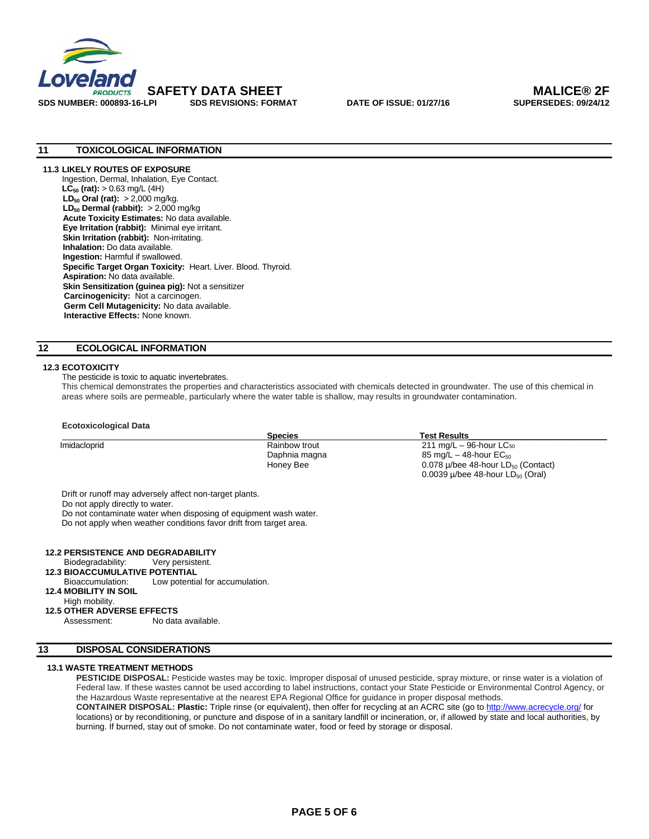

**SDS NUMBER: 000893-16-LPI SDS REVISIONS: FORMAT DATE OF ISSUE: 01/27/16 SUPERSEDES: 09/24/12** 

### **11 TOXICOLOGICAL INFORMATION**

### **11.3 LIKELY ROUTES OF EXPOSURE**

Ingestion, Dermal, Inhalation, Eye Contact. **LC<sub>50</sub>** (rat):  $> 0.63$  mg/L (4H) **LD<sub>50</sub> Oral (rat):** > 2,000 mg/kg. **LD<sub>50</sub> Dermal (rabbit):** > 2,000 mg/kg **Acute Toxicity Estimates:** No data available. **Eye Irritation (rabbit):** Minimal eye irritant. **Skin Irritation (rabbit):** Non-irritating. **Inhalation:** Do data available. **Ingestion:** Harmful if swallowed. **Specific Target Organ Toxicity:** Heart. Liver. Blood. Thyroid. **Aspiration:** No data available. **Skin Sensitization (guinea pig):** Not a sensitizer  **Carcinogenicity:** Not a carcinogen. **Germ Cell Mutagenicity:** No data available. **Interactive Effects:** None known.

### **12 ECOLOGICAL INFORMATION**

### **12.3 ECOTOXICITY**

The pesticide is toxic to aquatic invertebrates.

This chemical demonstrates the properties and characteristics associated with chemicals detected in groundwater. The use of this chemical in areas where soils are permeable, particularly where the water table is shallow, may results in groundwater contamination.

### **Ecotoxicological Data**

|              | <b>Species</b> | <b>Test Results</b>                                 |
|--------------|----------------|-----------------------------------------------------|
| Imidacloprid | Rainbow trout  | $211 \text{ mg/L} - 96$ -hour LC <sub>50</sub>      |
|              | Daphnia magna  | 85 mg/L $-$ 48-hour EC <sub>50</sub>                |
|              | Honey Bee      | 0.078 $\mu$ /bee 48-hour LD <sub>50</sub> (Contact) |
|              |                | 0.0039 $\mu$ /bee 48-hour LD <sub>50</sub> (Oral)   |

Do not apply directly to water.

Do not contaminate water when disposing of equipment wash water.

Do not apply when weather conditions favor drift from target area.

### **12.2 PERSISTENCE AND DEGRADABILITY**

**Biodegradability:** Very persistent.

### **12.3 BIOACCUMULATIVE POTENTIAL**

- Bioaccumulation: Low potential for accumulation.
- **12.4 MOBILITY IN SOIL**
- High mobility.

### **12.5 OTHER ADVERSE EFFECTS**

Assessment: No data available.

## **13 DISPOSAL CONSIDERATIONS**

### **13.1 WASTE TREATMENT METHODS**

PESTICIDE DISPOSAL: Pesticide wastes may be toxic. Improper disposal of unused pesticide, spray mixture, or rinse water is a violation of Federal law. If these wastes cannot be used according to label instructions, contact your State Pesticide or Environmental Control Agency, or the Hazardous Waste representative at the nearest EPA Regional Office for guidance in proper disposal methods. **CONTAINER DISPOSAL: Plastic:** Triple rinse (or equivalent), then offer for recycling at an ACRC site (go to http://www.acrecycle.org/ for locations) or by reconditioning, or puncture and dispose of in a sanitary landfill or incineration, or, if allowed by state and local authorities, by burning. If burned, stay out of smoke. Do not contaminate water, food or feed by storage or disposal.